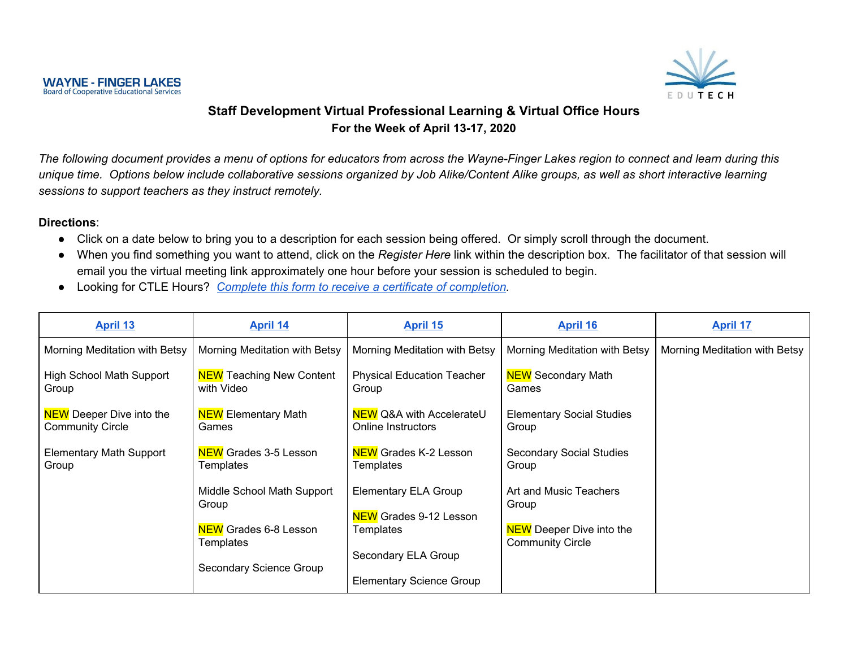

#### **Staff Development Virtual Professional Learning & Virtual Office Hours For the Week of April 13-17, 2020**

The following document provides a menu of options for educators from across the Wayne-Finger Lakes region to connect and learn during this unique time. Options below include collaborative sessions organized by Job Alike/Content Alike groups, as well as short interactive learning *sessions to support teachers as they instruct remotely.*

#### **Directions**:

- Click on a date below to bring you to a description for each session being offered. Or simply scroll through the document.
- When you find something you want to attend, click on the *Register Here* link within the description box. The facilitator of that session will email you the virtual meeting link approximately one hour before your session is scheduled to begin.
- Looking for CTLE Hours? *Complete this form to receive a certificate of [completion](https://docs.google.com/forms/d/e/1FAIpQLScnkOL_PNWekgpGCxa9MsdRPvKQslalZ6T4VBLR9Rr-VU64RA/viewform?usp=sf_link).*

| <b>April 13</b>                                            | <b>April 14</b>                               | <b>April 15</b>                                                  | <b>April 16</b>                                            | <b>April 17</b>               |
|------------------------------------------------------------|-----------------------------------------------|------------------------------------------------------------------|------------------------------------------------------------|-------------------------------|
| Morning Meditation with Betsy                              | Morning Meditation with Betsy                 | Morning Meditation with Betsy                                    | Morning Meditation with Betsy                              | Morning Meditation with Betsy |
| <b>High School Math Support</b><br>Group                   | <b>NEW</b> Teaching New Content<br>with Video | <b>Physical Education Teacher</b><br>Group                       | <b>NEW</b> Secondary Math<br>Games                         |                               |
| <b>NEW</b> Deeper Dive into the<br><b>Community Circle</b> | <b>NEW Elementary Math</b><br>Games           | <b>NEW Q&amp;A with AccelerateU</b><br><b>Online Instructors</b> | <b>Elementary Social Studies</b><br>Group                  |                               |
| <b>Elementary Math Support</b><br>Group                    | <b>NEW Grades 3-5 Lesson</b><br>Templates     | <b>NEW Grades K-2 Lesson</b><br>Templates                        | <b>Secondary Social Studies</b><br>Group                   |                               |
|                                                            | Middle School Math Support<br>Group           | <b>Elementary ELA Group</b><br><b>NEW</b> Grades 9-12 Lesson     | Art and Music Teachers<br>Group                            |                               |
|                                                            | <b>NEW</b> Grades 6-8 Lesson<br>Templates     | Templates                                                        | <b>NEW</b> Deeper Dive into the<br><b>Community Circle</b> |                               |
|                                                            | Secondary Science Group                       | Secondary ELA Group<br><b>Elementary Science Group</b>           |                                                            |                               |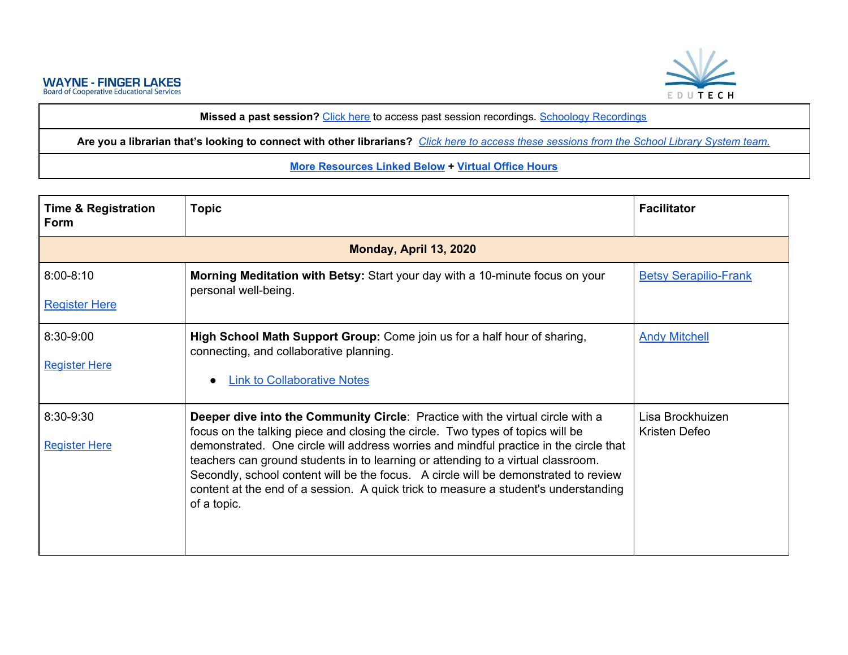

**Missed a past session?** [Click](https://ebn.edutech.org/Playlist/c5WSn3y9) here to access past session recordings. Schoology [Recordings](https://ebn.edutech.org/Playlist/x5F8KrHj)

Are you a librarian that's looking to connect with other librarians? Click here to access these [sessions](https://www.smore.com/26sym) from the School Library System team.

#### <span id="page-1-0"></span>**More [Resources](#page-7-0) Linked Below + [Virtual](#page-6-1) Office Hours**

| <b>Time &amp; Registration</b><br><b>Form</b> | <b>Topic</b>                                                                                                                                                                                                                                                                                                                                                                                                                                                                                                                               | <b>Facilitator</b>                |
|-----------------------------------------------|--------------------------------------------------------------------------------------------------------------------------------------------------------------------------------------------------------------------------------------------------------------------------------------------------------------------------------------------------------------------------------------------------------------------------------------------------------------------------------------------------------------------------------------------|-----------------------------------|
|                                               | Monday, April 13, 2020                                                                                                                                                                                                                                                                                                                                                                                                                                                                                                                     |                                   |
| $8:00 - 8:10$<br><b>Register Here</b>         | <b>Morning Meditation with Betsy: Start your day with a 10-minute focus on your</b><br>personal well-being.                                                                                                                                                                                                                                                                                                                                                                                                                                | <b>Betsy Serapilio-Frank</b>      |
| 8:30-9:00<br><b>Register Here</b>             | High School Math Support Group: Come join us for a half hour of sharing,<br>connecting, and collaborative planning.<br><b>Link to Collaborative Notes</b><br>$\bullet$                                                                                                                                                                                                                                                                                                                                                                     | <b>Andy Mitchell</b>              |
| 8:30-9:30<br><b>Register Here</b>             | Deeper dive into the Community Circle: Practice with the virtual circle with a<br>focus on the talking piece and closing the circle. Two types of topics will be<br>demonstrated. One circle will address worries and mindful practice in the circle that<br>teachers can ground students in to learning or attending to a virtual classroom.<br>Secondly, school content will be the focus. A circle will be demonstrated to review<br>content at the end of a session. A quick trick to measure a student's understanding<br>of a topic. | Lisa Brockhuizen<br>Kristen Defeo |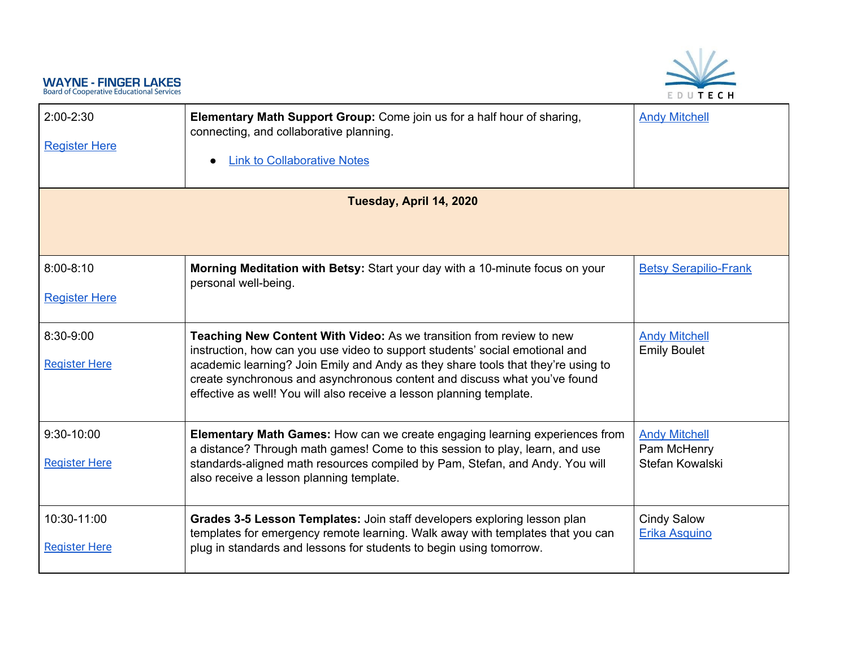# EDUTECH

<span id="page-2-0"></span>

| $2:00 - 2:30$<br><b>Register Here</b> | Elementary Math Support Group: Come join us for a half hour of sharing,<br>connecting, and collaborative planning.<br><b>Link to Collaborative Notes</b><br>$\bullet$                                                                                                                                                                                                                         | <b>Andy Mitchell</b>                                   |  |
|---------------------------------------|-----------------------------------------------------------------------------------------------------------------------------------------------------------------------------------------------------------------------------------------------------------------------------------------------------------------------------------------------------------------------------------------------|--------------------------------------------------------|--|
| Tuesday, April 14, 2020               |                                                                                                                                                                                                                                                                                                                                                                                               |                                                        |  |
| $8:00 - 8:10$<br><b>Register Here</b> | Morning Meditation with Betsy: Start your day with a 10-minute focus on your<br>personal well-being.                                                                                                                                                                                                                                                                                          | <b>Betsy Serapilio-Frank</b>                           |  |
| 8:30-9:00<br><b>Register Here</b>     | Teaching New Content With Video: As we transition from review to new<br>instruction, how can you use video to support students' social emotional and<br>academic learning? Join Emily and Andy as they share tools that they're using to<br>create synchronous and asynchronous content and discuss what you've found<br>effective as well! You will also receive a lesson planning template. | <b>Andy Mitchell</b><br><b>Emily Boulet</b>            |  |
| 9:30-10:00<br><b>Register Here</b>    | Elementary Math Games: How can we create engaging learning experiences from<br>a distance? Through math games! Come to this session to play, learn, and use<br>standards-aligned math resources compiled by Pam, Stefan, and Andy. You will<br>also receive a lesson planning template.                                                                                                       | <b>Andy Mitchell</b><br>Pam McHenry<br>Stefan Kowalski |  |
| 10:30-11:00<br><b>Register Here</b>   | Grades 3-5 Lesson Templates: Join staff developers exploring lesson plan<br>templates for emergency remote learning. Walk away with templates that you can<br>plug in standards and lessons for students to begin using tomorrow.                                                                                                                                                             | <b>Cindy Salow</b><br>Erika Asquino                    |  |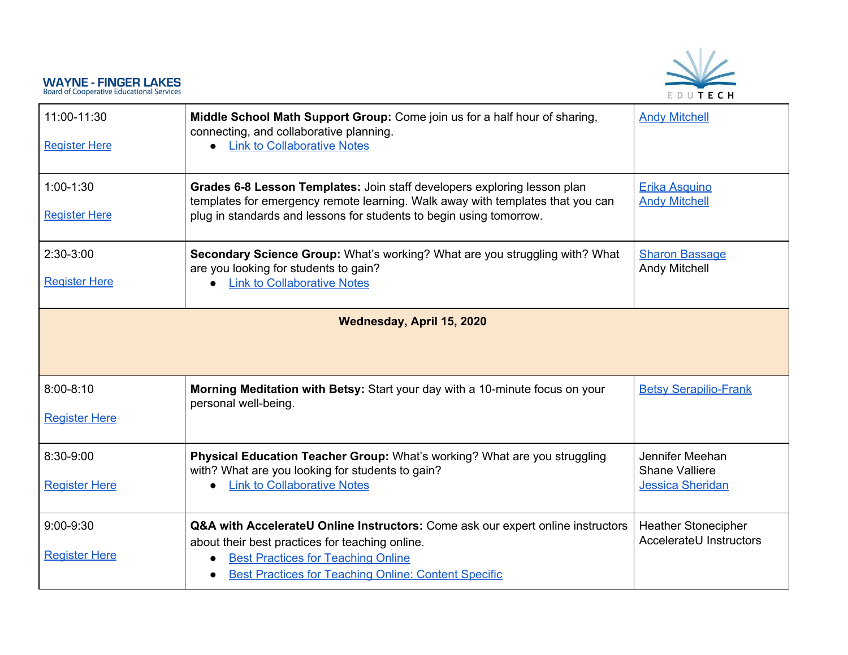

<span id="page-3-0"></span>

| 11:00-11:30<br><b>Register Here</b>   | Middle School Math Support Group: Come join us for a half hour of sharing,<br>connecting, and collaborative planning.<br><b>Link to Collaborative Notes</b><br>$\bullet$                                                                                    | <b>Andy Mitchell</b>                                                |
|---------------------------------------|-------------------------------------------------------------------------------------------------------------------------------------------------------------------------------------------------------------------------------------------------------------|---------------------------------------------------------------------|
| $1:00-1:30$<br><b>Register Here</b>   | Grades 6-8 Lesson Templates: Join staff developers exploring lesson plan<br>templates for emergency remote learning. Walk away with templates that you can<br>plug in standards and lessons for students to begin using tomorrow.                           | Erika Asquino<br><b>Andy Mitchell</b>                               |
| $2:30-3:00$<br><b>Register Here</b>   | Secondary Science Group: What's working? What are you struggling with? What<br>are you looking for students to gain?<br><b>Link to Collaborative Notes</b>                                                                                                  | <b>Sharon Bassage</b><br>Andy Mitchell                              |
|                                       | Wednesday, April 15, 2020                                                                                                                                                                                                                                   |                                                                     |
| $8:00 - 8:10$<br><b>Register Here</b> | Morning Meditation with Betsy: Start your day with a 10-minute focus on your<br>personal well-being.                                                                                                                                                        | <b>Betsy Serapilio-Frank</b>                                        |
| 8:30-9:00<br><b>Register Here</b>     | Physical Education Teacher Group: What's working? What are you struggling<br>with? What are you looking for students to gain?<br><b>Link to Collaborative Notes</b><br>$\bullet$                                                                            | Jennifer Meehan<br><b>Shane Valliere</b><br><b>Jessica Sheridan</b> |
| $9:00-9:30$<br><b>Register Here</b>   | Q&A with AccelerateU Online Instructors: Come ask our expert online instructors<br>about their best practices for teaching online.<br><b>Best Practices for Teaching Online</b><br><b>Best Practices for Teaching Online: Content Specific</b><br>$\bullet$ | <b>Heather Stonecipher</b><br>AccelerateU Instructors               |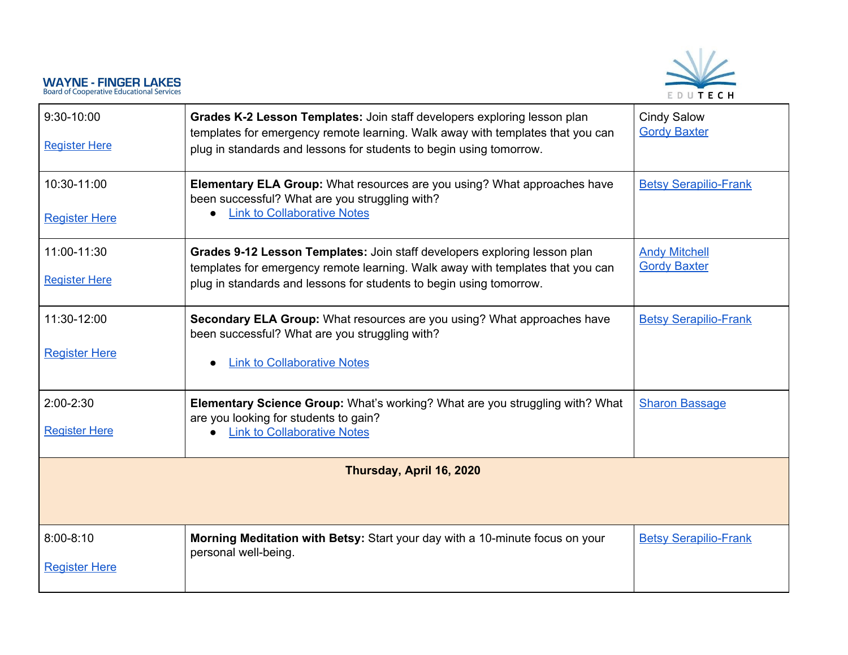

<span id="page-4-0"></span>

| $9:30-10:00$<br><b>Register Here</b>  | Grades K-2 Lesson Templates: Join staff developers exploring lesson plan<br>templates for emergency remote learning. Walk away with templates that you can<br>plug in standards and lessons for students to begin using tomorrow.  | <b>Cindy Salow</b><br><b>Gordy Baxter</b>   |
|---------------------------------------|------------------------------------------------------------------------------------------------------------------------------------------------------------------------------------------------------------------------------------|---------------------------------------------|
| 10:30-11:00<br><b>Register Here</b>   | Elementary ELA Group: What resources are you using? What approaches have<br>been successful? What are you struggling with?<br><b>Link to Collaborative Notes</b><br>$\bullet$                                                      | <b>Betsy Serapilio-Frank</b>                |
| 11:00-11:30<br><b>Register Here</b>   | Grades 9-12 Lesson Templates: Join staff developers exploring lesson plan<br>templates for emergency remote learning. Walk away with templates that you can<br>plug in standards and lessons for students to begin using tomorrow. | <b>Andy Mitchell</b><br><b>Gordy Baxter</b> |
| 11:30-12:00<br><b>Register Here</b>   | Secondary ELA Group: What resources are you using? What approaches have<br>been successful? What are you struggling with?<br><b>Link to Collaborative Notes</b><br>$\bullet$                                                       | <b>Betsy Serapilio-Frank</b>                |
| $2:00 - 2:30$<br><b>Register Here</b> | Elementary Science Group: What's working? What are you struggling with? What<br>are you looking for students to gain?<br><b>Link to Collaborative Notes</b>                                                                        | <b>Sharon Bassage</b>                       |
|                                       | Thursday, April 16, 2020                                                                                                                                                                                                           |                                             |
| $8:00 - 8:10$<br><b>Register Here</b> | Morning Meditation with Betsy: Start your day with a 10-minute focus on your<br>personal well-being.                                                                                                                               | <b>Betsy Serapilio-Frank</b>                |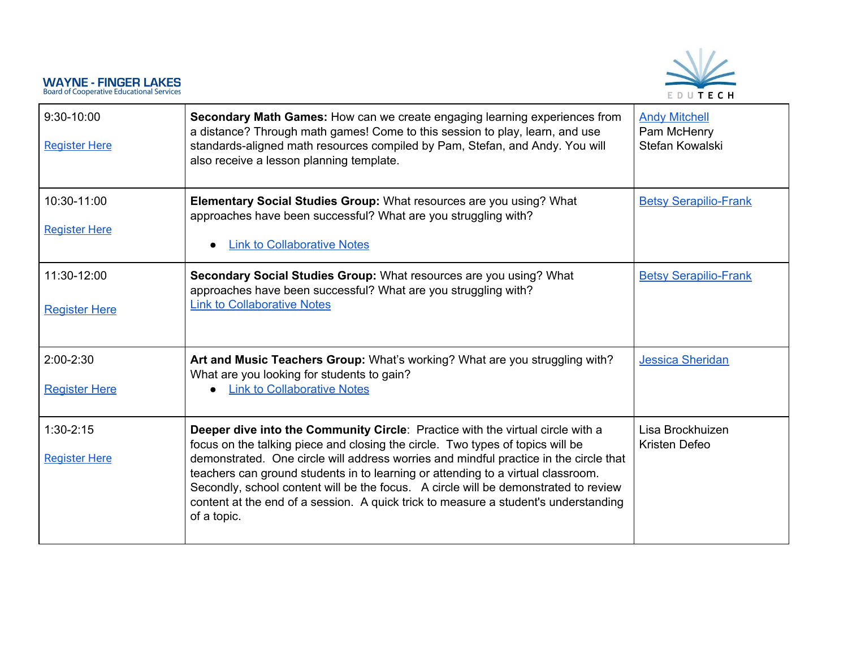

| $9:30-10:00$<br><b>Register Here</b>  | Secondary Math Games: How can we create engaging learning experiences from<br>a distance? Through math games! Come to this session to play, learn, and use<br>standards-aligned math resources compiled by Pam, Stefan, and Andy. You will<br>also receive a lesson planning template.                                                                                                                                                                                                                                                     | <b>Andy Mitchell</b><br>Pam McHenry<br>Stefan Kowalski |
|---------------------------------------|--------------------------------------------------------------------------------------------------------------------------------------------------------------------------------------------------------------------------------------------------------------------------------------------------------------------------------------------------------------------------------------------------------------------------------------------------------------------------------------------------------------------------------------------|--------------------------------------------------------|
| 10:30-11:00<br><b>Register Here</b>   | Elementary Social Studies Group: What resources are you using? What<br>approaches have been successful? What are you struggling with?<br><b>Link to Collaborative Notes</b><br>$\bullet$                                                                                                                                                                                                                                                                                                                                                   | <b>Betsy Serapilio-Frank</b>                           |
| 11:30-12:00<br><b>Register Here</b>   | Secondary Social Studies Group: What resources are you using? What<br>approaches have been successful? What are you struggling with?<br><b>Link to Collaborative Notes</b>                                                                                                                                                                                                                                                                                                                                                                 | <b>Betsy Serapilio-Frank</b>                           |
| $2:00 - 2:30$<br><b>Register Here</b> | Art and Music Teachers Group: What's working? What are you struggling with?<br>What are you looking for students to gain?<br><b>Link to Collaborative Notes</b><br>$\bullet$                                                                                                                                                                                                                                                                                                                                                               | <b>Jessica Sheridan</b>                                |
| $1:30-2:15$<br><b>Register Here</b>   | Deeper dive into the Community Circle: Practice with the virtual circle with a<br>focus on the talking piece and closing the circle. Two types of topics will be<br>demonstrated. One circle will address worries and mindful practice in the circle that<br>teachers can ground students in to learning or attending to a virtual classroom.<br>Secondly, school content will be the focus. A circle will be demonstrated to review<br>content at the end of a session. A quick trick to measure a student's understanding<br>of a topic. | Lisa Brockhuizen<br>Kristen Defeo                      |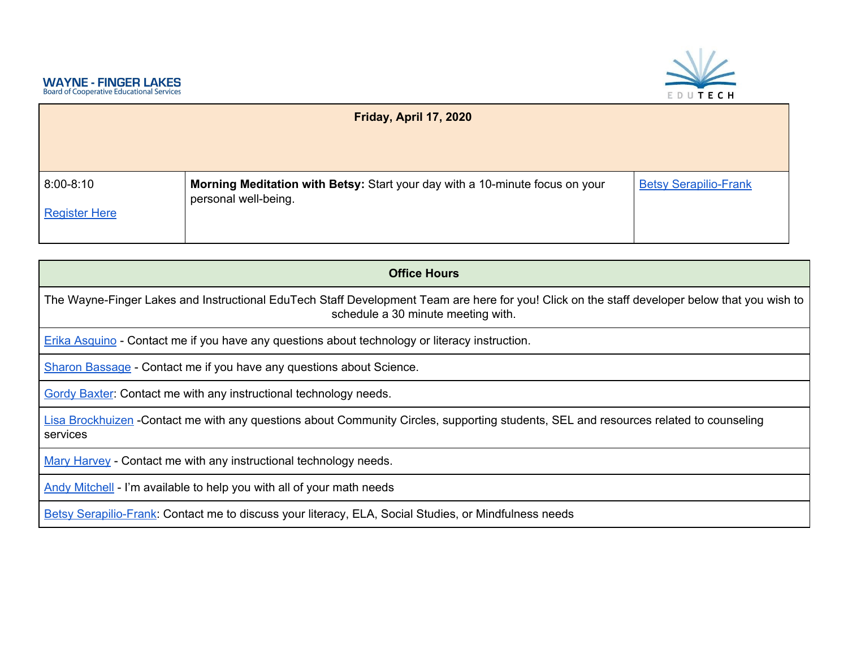<span id="page-6-1"></span><span id="page-6-0"></span>

| Friday, April 17, 2020                |                                                                                                      |                              |
|---------------------------------------|------------------------------------------------------------------------------------------------------|------------------------------|
| $8:00 - 8:10$<br><b>Register Here</b> | Morning Meditation with Betsy: Start your day with a 10-minute focus on your<br>personal well-being. | <b>Betsy Serapilio-Frank</b> |

| <b>Office Hours</b>                                                                                                                                                                 |
|-------------------------------------------------------------------------------------------------------------------------------------------------------------------------------------|
| The Wayne-Finger Lakes and Instructional EduTech Staff Development Team are here for you! Click on the staff developer below that you wish to<br>schedule a 30 minute meeting with. |
| Erika Asquino - Contact me if you have any questions about technology or literacy instruction.                                                                                      |
| Sharon Bassage - Contact me if you have any questions about Science.                                                                                                                |
| <b>Gordy Baxter: Contact me with any instructional technology needs.</b>                                                                                                            |
| Lisa Brockhuizen -Contact me with any questions about Community Circles, supporting students, SEL and resources related to counseling<br>services                                   |
| Mary Harvey - Contact me with any instructional technology needs.                                                                                                                   |
| Andy Mitchell - I'm available to help you with all of your math needs                                                                                                               |
| Betsy Serapilio-Frank: Contact me to discuss your literacy, ELA, Social Studies, or Mindfulness needs                                                                               |